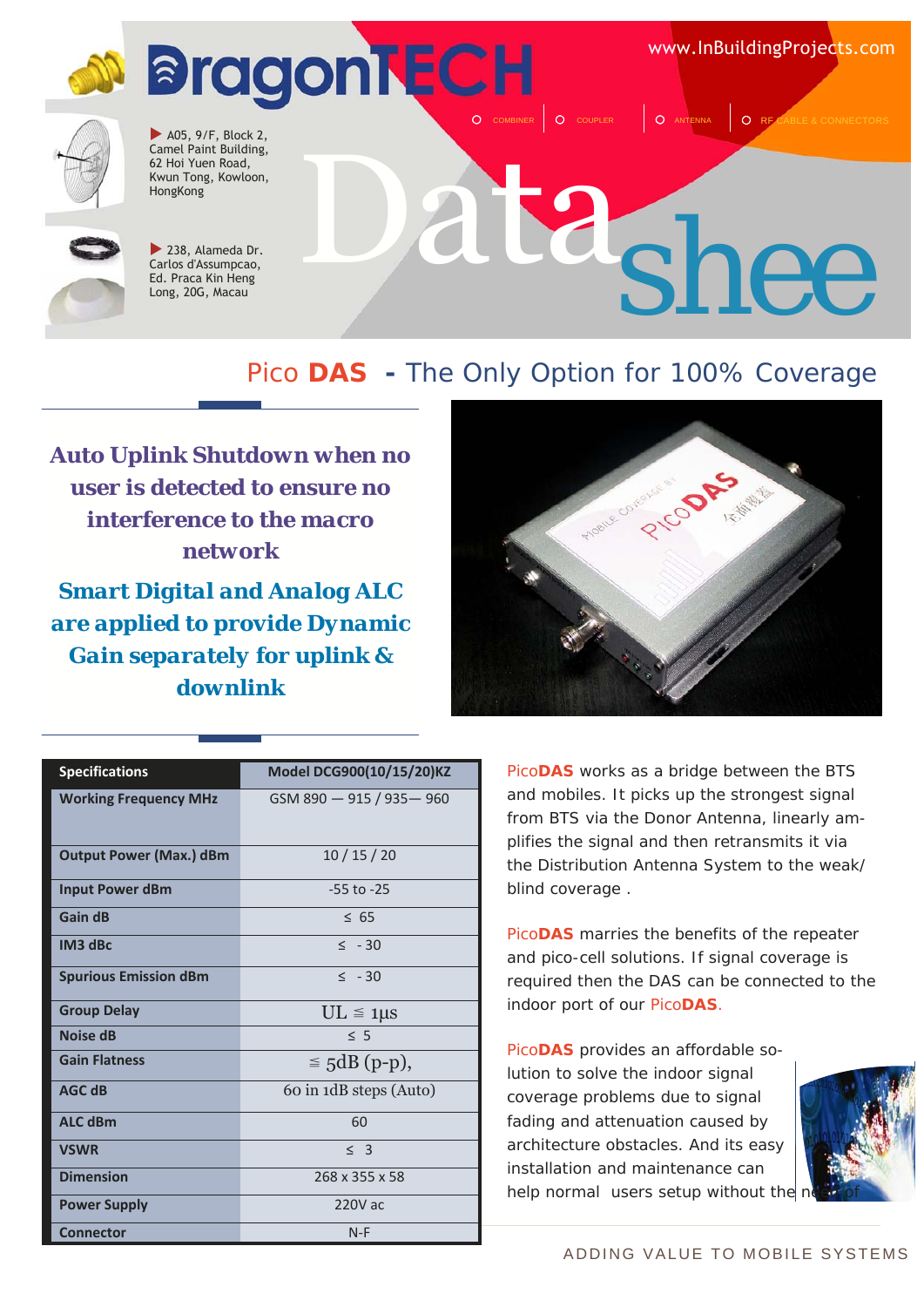www.InBuildingProjects.com





 $\blacktriangleright$  A05, 9/F, Block 2, Camel Paint Building, 62 Hoi Yuen Road, Kwun Tong, Kowloon, HongKong



 $\blacktriangleright$  238, Alameda Dr. Carlos d'Assumpcao, Ed. Praca Kin Heng Long, 20G, Macau

# $\mathbf{z}_{shee}$

#### Pico **DAS -** The Only Option for 100% Coverage

*Auto Uplink Shutdown when no user is detected to ensure no interference to the macro network* 

*Smart Digital and Analog ALC are applied to provide Dynamic Gain separately for uplink & downlink* 



O COUPLER **Q** ANTENNA Q RF

| <b>Specifications</b>          | Model DCG900(10/15/20)KZ  |
|--------------------------------|---------------------------|
| <b>Working Frequency MHz</b>   | GSM 890 - 915 / 935 - 960 |
| <b>Output Power (Max.) dBm</b> | 10/15/20                  |
| <b>Input Power dBm</b>         | $-55$ to $-25$            |
| Gain dB                        | < 65                      |
| IM <sub>3</sub> dBc            | $\leq$ - 30               |
| <b>Spurious Emission dBm</b>   | $\leq$ -30                |
| <b>Group Delay</b>             | $UL \leq 1 \mu s$         |
| Noise dB                       | < 5                       |
| <b>Gain Flatness</b>           | $\leq$ 5dB (p-p),         |
| <b>AGC dB</b>                  | 60 in 1dB steps (Auto)    |
| <b>ALC dBm</b>                 | 60                        |
| <b>VSWR</b>                    | $<$ 3                     |
| <b>Dimension</b>               | 268 x 355 x 58            |
| <b>Power Supply</b>            | 220V ac                   |
| <b>Connector</b>               | $N-F$                     |

Pico**DAS** works as a bridge between the BTS and mobiles. It picks up the strongest signal from BTS via the Donor Antenna, linearly amplifies the signal and then retransmits it via the Distribution Antenna System to the weak/ blind coverage .

Pico**DAS** marries the benefits of the repeater and pico-cell solutions. If signal coverage is required then the DAS can be connected to the indoor port of our Pico**DAS**.

Pico**DAS** provides an affordable solution to solve the indoor signal coverage problems due to signal fading and attenuation caused by architecture obstacles. And its easy installation and maintenance can help normal users setup without the

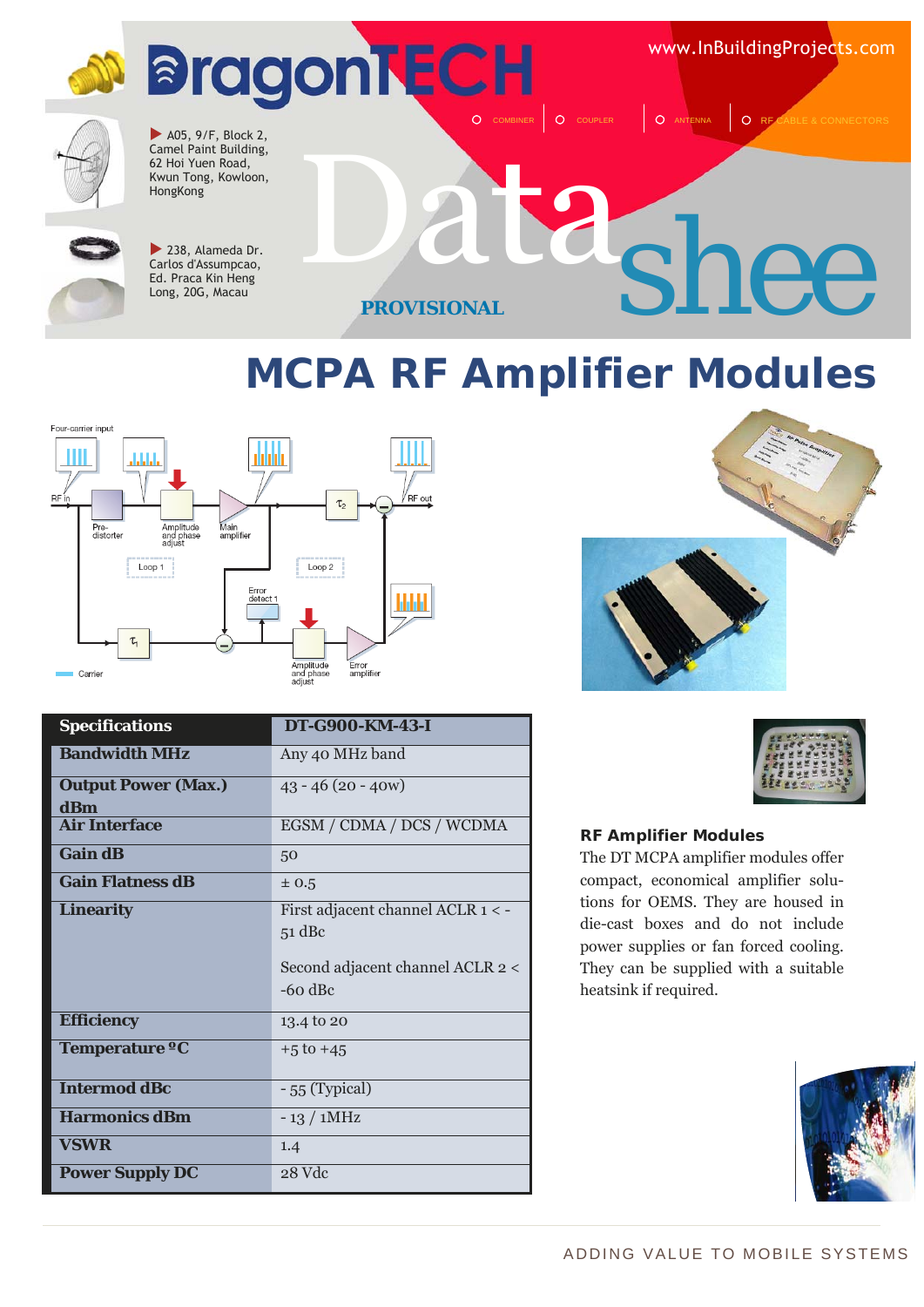

### **MCPA RF Amplifier Modules**





| <b>Specifications</b>             | DT-G900-KM-43-I                                                                                |
|-----------------------------------|------------------------------------------------------------------------------------------------|
| <b>Bandwidth MHz</b>              | Any 40 MHz band                                                                                |
| <b>Output Power (Max.)</b><br>dBm | $43 - 46(20 - 40w)$                                                                            |
| <b>Air Interface</b>              | EGSM / CDMA / DCS / WCDMA                                                                      |
| <b>Gain dB</b>                    | 50                                                                                             |
| <b>Gain Flatness dB</b>           | $\pm 0.5$                                                                                      |
| <b>Linearity</b>                  | First adjacent channel ACLR 1 < -<br>$51$ dBc<br>Second adjacent channel ACLR 2 <<br>$-60$ dBc |
| <b>Efficiency</b>                 | 13.4 to 20                                                                                     |
| Temperature °C                    | $+5$ to $+45$                                                                                  |
| <b>Intermod dBc</b>               | $-55$ (Typical)                                                                                |
| <b>Harmonics dBm</b>              | $-13/1$ MHz                                                                                    |
| <b>VSWR</b>                       | 1.4                                                                                            |
| <b>Power Supply DC</b>            | 28 Vdc                                                                                         |



#### **RF Amplifier Modules**

The DT MCPA amplifier modules offer compact, economical amplifier solutions for OEMS. They are housed in die-cast boxes and do not include power supplies or fan forced cooling. They can be supplied with a suitable heatsink if required.

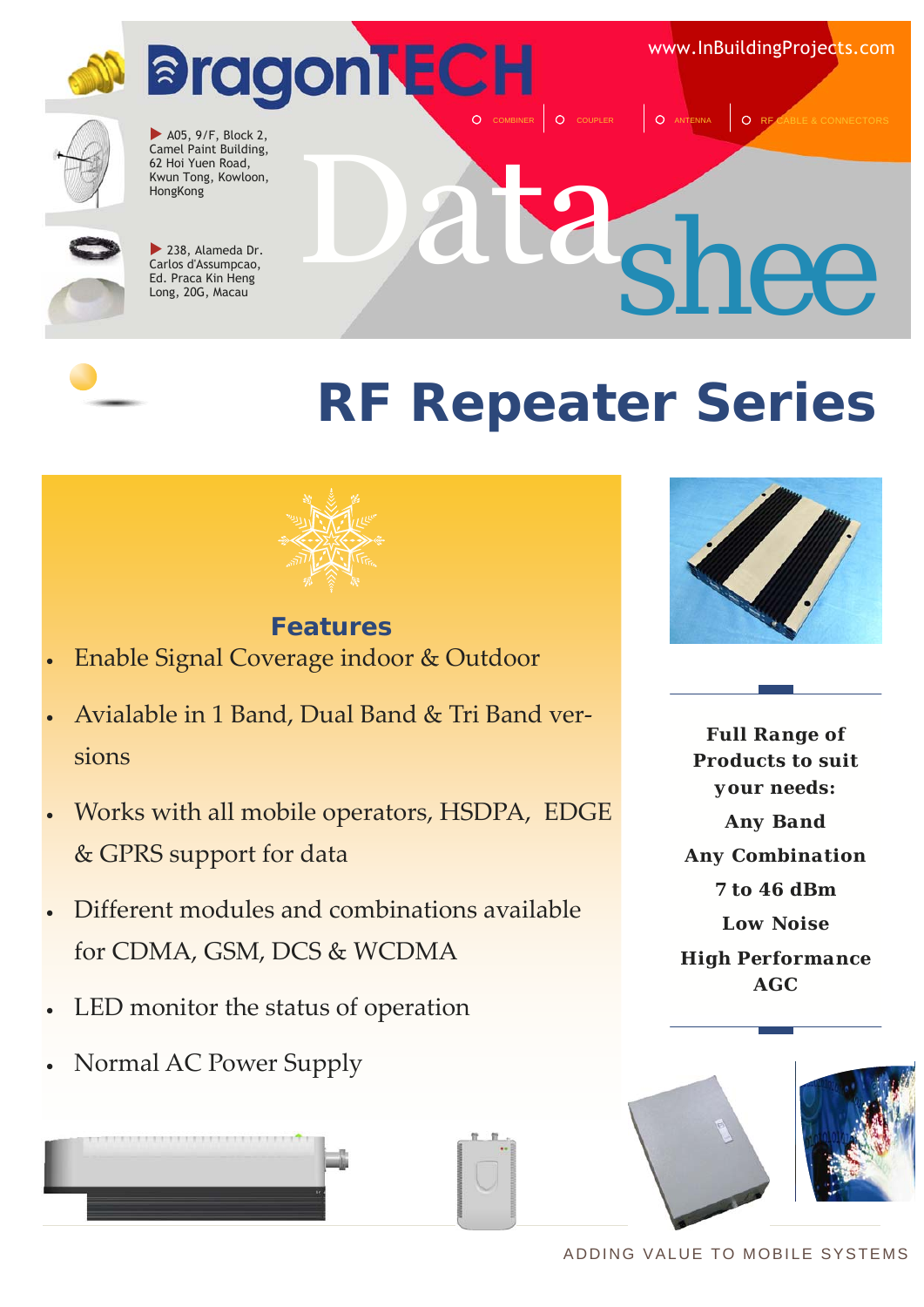

www.InBuildingProjects.com

Data *shee*

O COUPLER Q ANTENNA Q RF C



 $\blacktriangleright$  A05, 9/F, Block 2, Camel Paint Building, 62 Hoi Yuen Road, Kwun Tong, Kowloon, HongKong



 $\blacktriangleright$  238, Alameda Dr. Carlos d'Assumpcao, Ed. Praca Kin Heng Long, 20G, Macau

### **RF Repeater Series**



**Features**  • Enable Signal Coverage indoor & Outdoor

- Avialable in 1 Band, Dual Band & Tri Band ver‐ sions
- Works with all mobile operators, HSDPA, EDGE & GPRS support for data
- Different modules and combinations available for CDMA, GSM, DCS & WCDMA
- LED monitor the status of operation
- Normal AC Power Supply



*Full Range of Products to suit your needs: Any Band Any Combination 7 to 46 dBm Low Noise High Performance AGC* 

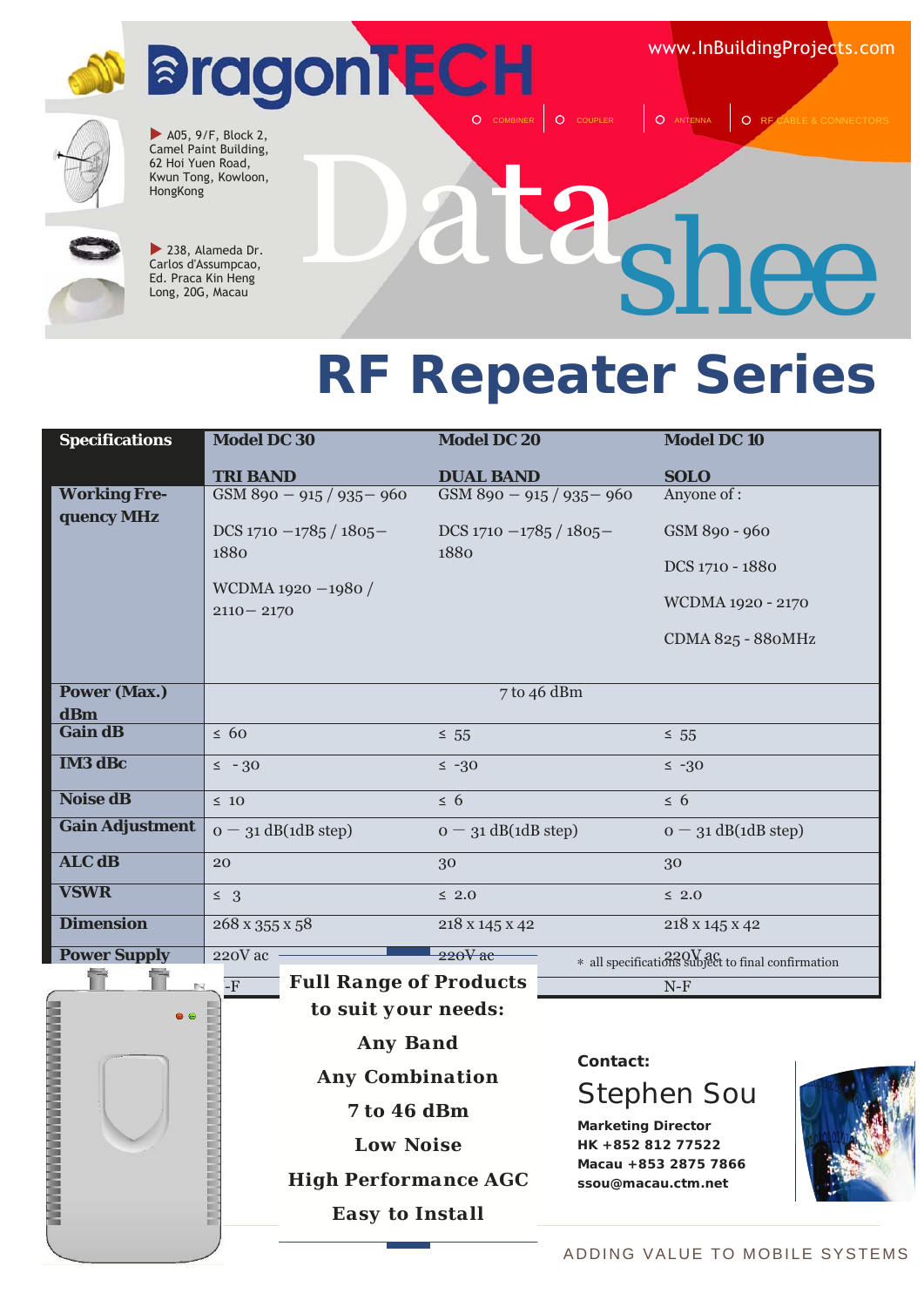www.InBuildingProjects.com



 $\blacktriangleright$  A05, 9/F, Block 2, Camel Paint Building, 62 Hoi Yuen Road, Kwun Tong, Kowloon, HongKong



 $\blacktriangleright$  238, Alameda Dr. Carlos d'Assumpcao, Ed. Praca Kin Heng Long, 20G, Macau

## Data *shee*

O COUPLER | O ANTENNA | O RF

### **RF Repeater Series**

| <b>Specifications</b>  | <b>Model DC 30</b>            | <b>Model DC 20</b>        | <b>Model DC10</b>                                    |
|------------------------|-------------------------------|---------------------------|------------------------------------------------------|
|                        |                               |                           |                                                      |
|                        | <b>TRI BAND</b>               | <b>DUAL BAND</b>          | <b>SOLO</b>                                          |
| <b>Working Fre-</b>    | GSM 890 - 915 / 935 - 960     | GSM 890 - 915 / 935 - 960 | Anyone of :                                          |
| quency MHz             |                               |                           |                                                      |
|                        | DCS $1710 - 1785 / 1805$      | DCS $1710 - 1785 / 1805$  | GSM 890 - 960                                        |
|                        | 1880                          | 1880                      | DCS 1710 - 1880                                      |
|                        | WCDMA 1920 -1980 /            |                           |                                                      |
|                        | $2110 - 2170$                 |                           | WCDMA 1920 - 2170                                    |
|                        |                               |                           |                                                      |
|                        |                               |                           | CDMA 825 - 880MHz                                    |
|                        |                               |                           |                                                      |
| <b>Power (Max.)</b>    |                               | 7 to 46 dBm               |                                                      |
| dBm                    |                               |                           |                                                      |
| <b>Gain dB</b>         | $\leq 60$                     | $\leq 55$                 | $\leq 55$                                            |
| <b>IM3 dBc</b>         | $\leq$ - 30                   | $\leq -30$                | $\leq -30$                                           |
|                        |                               |                           |                                                      |
| <b>Noise dB</b>        | $\leq 10$                     | $\leq 6$                  | $\leq 6$                                             |
| <b>Gain Adjustment</b> | $o - 31$ dB(1dB step)         | $o - 31$ dB(1dB step)     | $o - 31$ dB(1dB step)                                |
| <b>ALC dB</b>          | 20                            | 30                        | 30                                                   |
|                        |                               |                           |                                                      |
| <b>VSWR</b>            | $\leq$ 3                      | $\leq 2.0$                | $\leq 2.0$                                           |
| <b>Dimension</b>       | 268 x 355 x 58                | 218 x 145 x 42            | 218 x 145 x 42                                       |
| <b>Power Supply</b>    | 220V ac                       | $220V$ ac                 | $*$ all specifications subject to final confirmation |
|                        | <b>Full Range of Products</b> |                           |                                                      |
| 6                      | $-F$                          |                           | $N-F$                                                |
|                        | to suit vour needs:           |                           |                                                      |



**Contact:**

#### Stephen Sou

**Marketing Director HK +852 812 77522 Macau +853 2875 7866 ssou@macau.ctm.net**



#### ADDING VALUE TO MOBILE SYSTEMS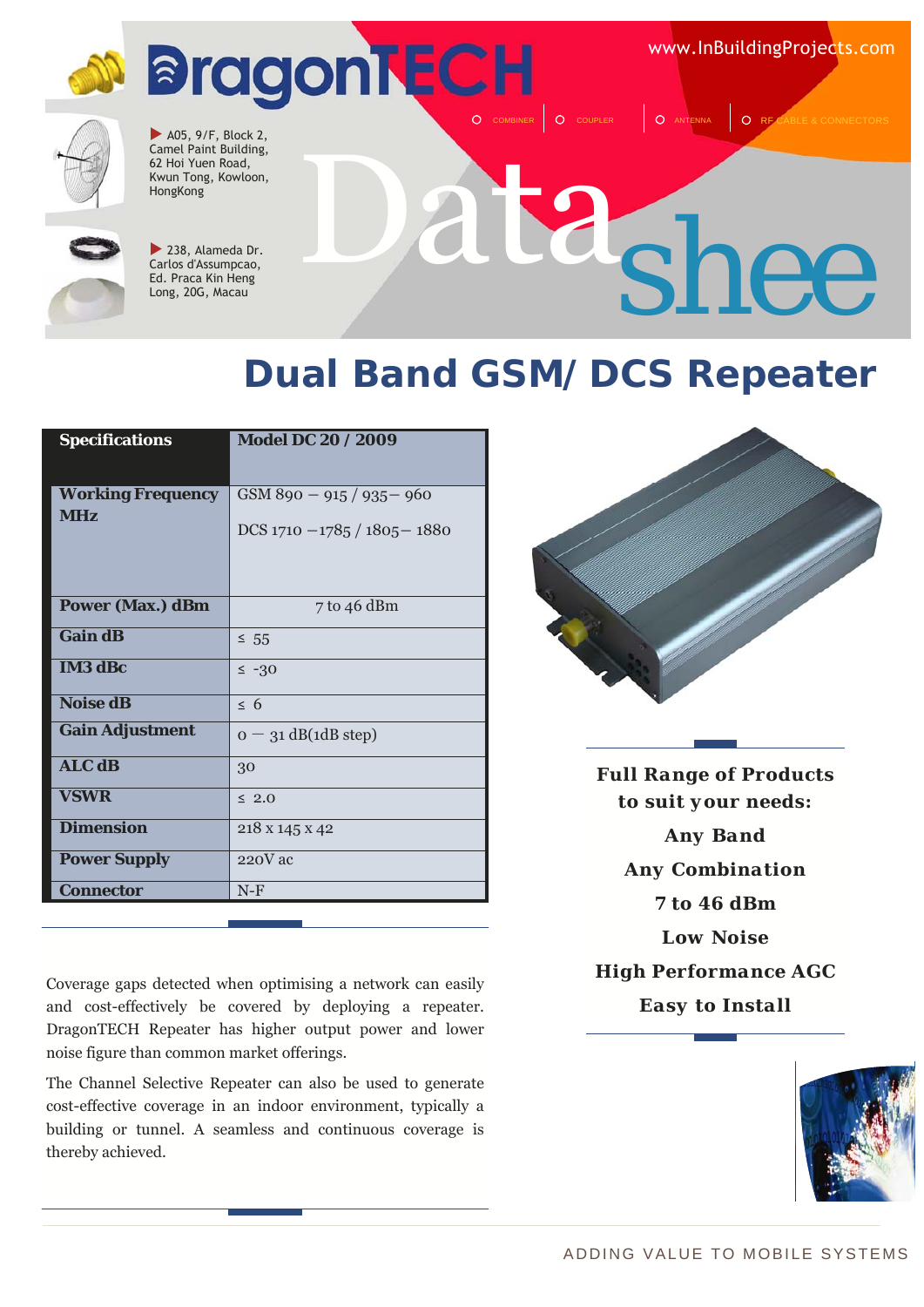www.InBuildingProjects.com



 $\blacktriangleright$  A05, 9/F, Block 2, Camel Paint Building, 62 Hoi Yuen Road, Kwun Tong, Kowloon, HongKong



 $\blacktriangleright$  238, Alameda Dr. Carlos d'Assumpcao, Ed. Praca Kin Heng Long, 20G, Macau

# Data *shee*

O COUPLER **Q** ANTENNA Q RF

### **Dual Band GSM/DCS Repeater**

| <b>Specifications</b>                  | Model DC 20 / 2009                                            |
|----------------------------------------|---------------------------------------------------------------|
| <b>Working Frequency</b><br><b>MHz</b> | $GSM890 - 915 / 935 - 960$<br>DCS $1710 - 1785 / 1805 - 1880$ |
| <b>Power (Max.) dBm</b>                | 7 to 46 dBm                                                   |
| <b>Gain dB</b>                         | $\leq 55$                                                     |
| <b>IM3 dBc</b>                         | $\leq -30$                                                    |
| <b>Noise dB</b>                        | $\leq 6$                                                      |
| <b>Gain Adjustment</b>                 | $o - 31$ dB(1dB step)                                         |
| <b>ALC dB</b>                          | 30                                                            |
| <b>VSWR</b>                            | $\leq 2.0$                                                    |
| <b>Dimension</b>                       | 218 x 145 x 42                                                |
| <b>Power Supply</b>                    | $220V$ ac                                                     |
| <b>Connector</b>                       | $N-F$                                                         |
|                                        |                                                               |

Coverage gaps detected when optimising a network can easily and cost-effectively be covered by deploying a repeater. DragonTECH Repeater has higher output power and lower noise figure than common market offerings.

The Channel Selective Repeater can also be used to generate cost-effective coverage in an indoor environment, typically a building or tunnel. A seamless and continuous coverage is thereby achieved.



*Full Range of Products to suit your needs: Any Band Any Combination 7 to 46 dBm Low Noise High Performance AGC Easy to Install*

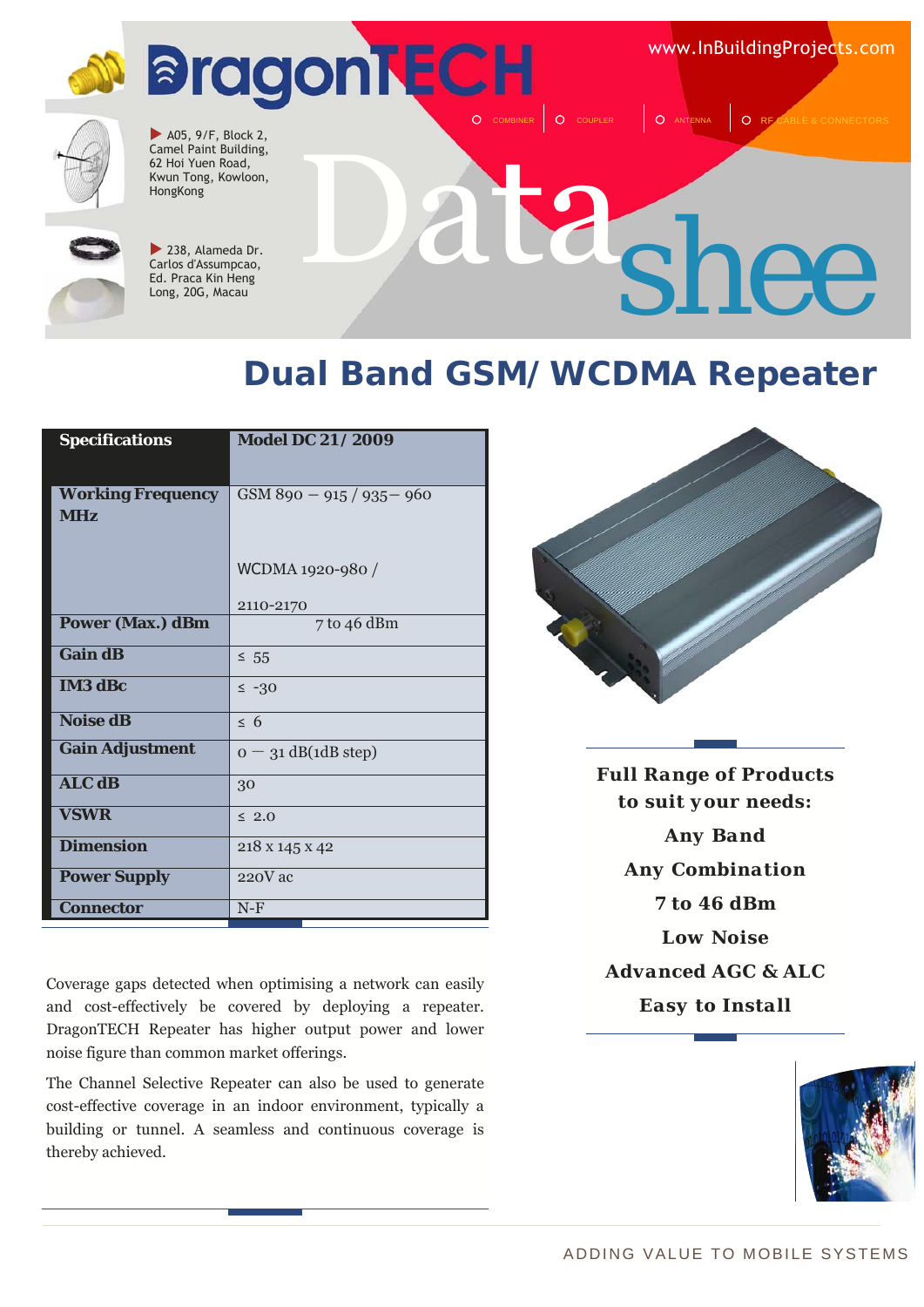www.InBuildingProjects.com



 $\blacktriangleright$  A05, 9/F, Block 2, Camel Paint Building, 62 Hoi Yuen Road, Kwun Tong, Kowloon, HongKong



 $\blacktriangleright$  238, Alameda Dr. Carlos d'Assumpcao, Ed. Praca Kin Heng Long, 20G, Macau

# Data *shee*

O COUPLER Q ANTENNA Q RF

#### **Dual Band GSM/WCDMA Repeater**

| <b>Specifications</b>    | <b>Model DC 21 / 2009</b>  |
|--------------------------|----------------------------|
|                          |                            |
| <b>Working Frequency</b> | $GSM890 - 915 / 935 - 960$ |
| <b>MHz</b>               |                            |
|                          |                            |
|                          | WCDMA 1920-980 /           |
|                          | 2110-2170                  |
| <b>Power (Max.) dBm</b>  | 7 to 46 dBm                |
| <b>Gain dB</b>           | $\leq 55$                  |
| <b>IM3 dBc</b>           | $\leq -30$                 |
| <b>Noise dB</b>          | $\leq 6$                   |
| <b>Gain Adjustment</b>   | $o - 31$ dB(1dB step)      |
| <b>ALC dB</b>            | 30                         |
| <b>VSWR</b>              | $\leq 2.0$                 |
| <b>Dimension</b>         | 218 x 145 x 42             |
| <b>Power Supply</b>      | $220V$ ac                  |
| <b>Connector</b>         | $N-F$                      |

Coverage gaps detected when optimising a network can easily and cost-effectively be covered by deploying a repeater. DragonTECH Repeater has higher output power and lower noise figure than common market offerings.

The Channel Selective Repeater can also be used to generate cost-effective coverage in an indoor environment, typically a building or tunnel. A seamless and continuous coverage is thereby achieved.



*Full Range of Products to suit your needs: Any Band Any Combination 7 to 46 dBm Low Noise Advanced AGC & ALC Easy to Install*

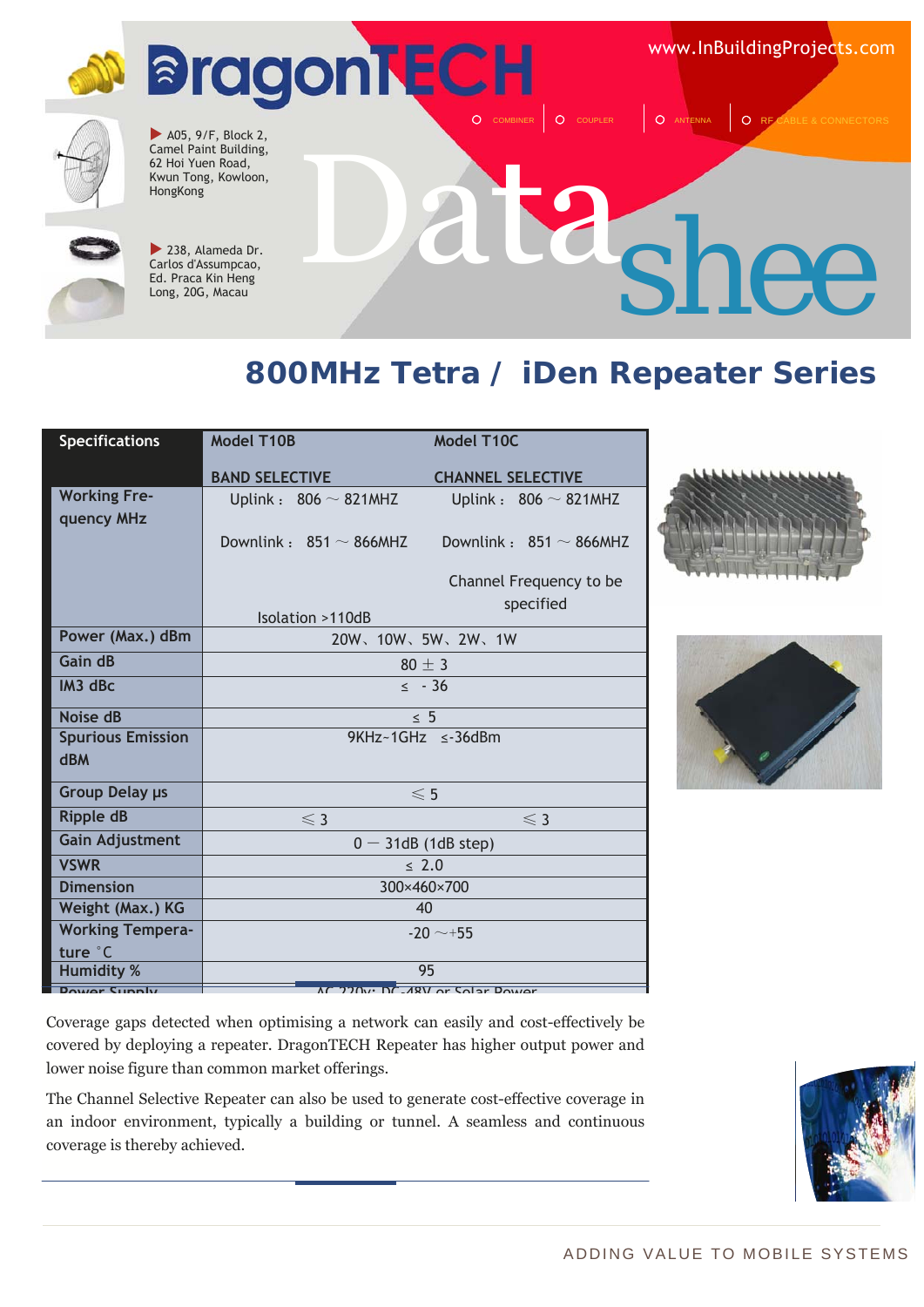www.InBuildingProjects.com



 $\blacktriangleright$  A05, 9/F, Block 2, Camel Paint Building, 62 Hoi Yuen Road, Kwun Tong, Kowloon, HongKong



 $\blacktriangleright$  238, Alameda Dr. Carlos d'Assumpcao, Ed. Praca Kin Heng Long, 20G, Macau

## Data *shee*

O COUPLER Q ANTENNA Q RF

#### **800MHz Tetra / iDen Repeater Series**

| <b>Specifications</b>                  | <b>Model T10B</b>                                              | Model T10C                   |
|----------------------------------------|----------------------------------------------------------------|------------------------------|
|                                        | <b>BAND SELECTIVE</b>                                          | <b>CHANNEL SELECTIVE</b>     |
| <b>Working Fre-</b><br>quency MHz      | Uplink: $806 \sim 821$ MHZ                                     | Uplink: $806 \sim 821$ MHZ   |
|                                        | Downlink : $851 \sim 866$ MHZ                                  | Downlink: $851 \sim 866$ MHZ |
|                                        |                                                                | Channel Frequency to be      |
|                                        | Isolation >110dB                                               | specified                    |
| Power (Max.) dBm                       |                                                                | 20W、10W、5W、2W、1W             |
| Gain dB                                |                                                                | $80 \pm 3$                   |
| IM3 dBc                                |                                                                | $\leq$ - 36                  |
| Noise dB                               |                                                                | $\leq 5$                     |
| <b>Spurious Emission</b><br><b>dBM</b> |                                                                | 9KHz~1GHz ≤-36dBm            |
| Group Delay µs                         |                                                                | $\leqslant$ 5                |
| <b>Ripple dB</b>                       | $\leqslant$ 3                                                  | $\leq 3$                     |
| <b>Gain Adjustment</b>                 |                                                                | $0 - 31$ dB (1dB step)       |
| <b>VSWR</b>                            | $\leq 2.0$                                                     |                              |
| <b>Dimension</b>                       | 300×460×700                                                    |                              |
| Weight (Max.) KG                       | 40                                                             |                              |
| <b>Working Tempera-</b>                | $-20 \sim +55$                                                 |                              |
| ture °C                                |                                                                |                              |
| <b>Humidity %</b>                      | 95<br>$\overline{AC}$ 220 $\overline{C}$ DC 49V or Solar Dower |                              |
| Dower Cupply                           |                                                                |                              |





Coverage gaps detected when optimising a network can easily and cost-effectively be covered by deploying a repeater. DragonTECH Repeater has higher output power and lower noise figure than common market offerings.

The Channel Selective Repeater can also be used to generate cost-effective coverage in an indoor environment, typically a building or tunnel. A seamless and continuous coverage is thereby achieved.

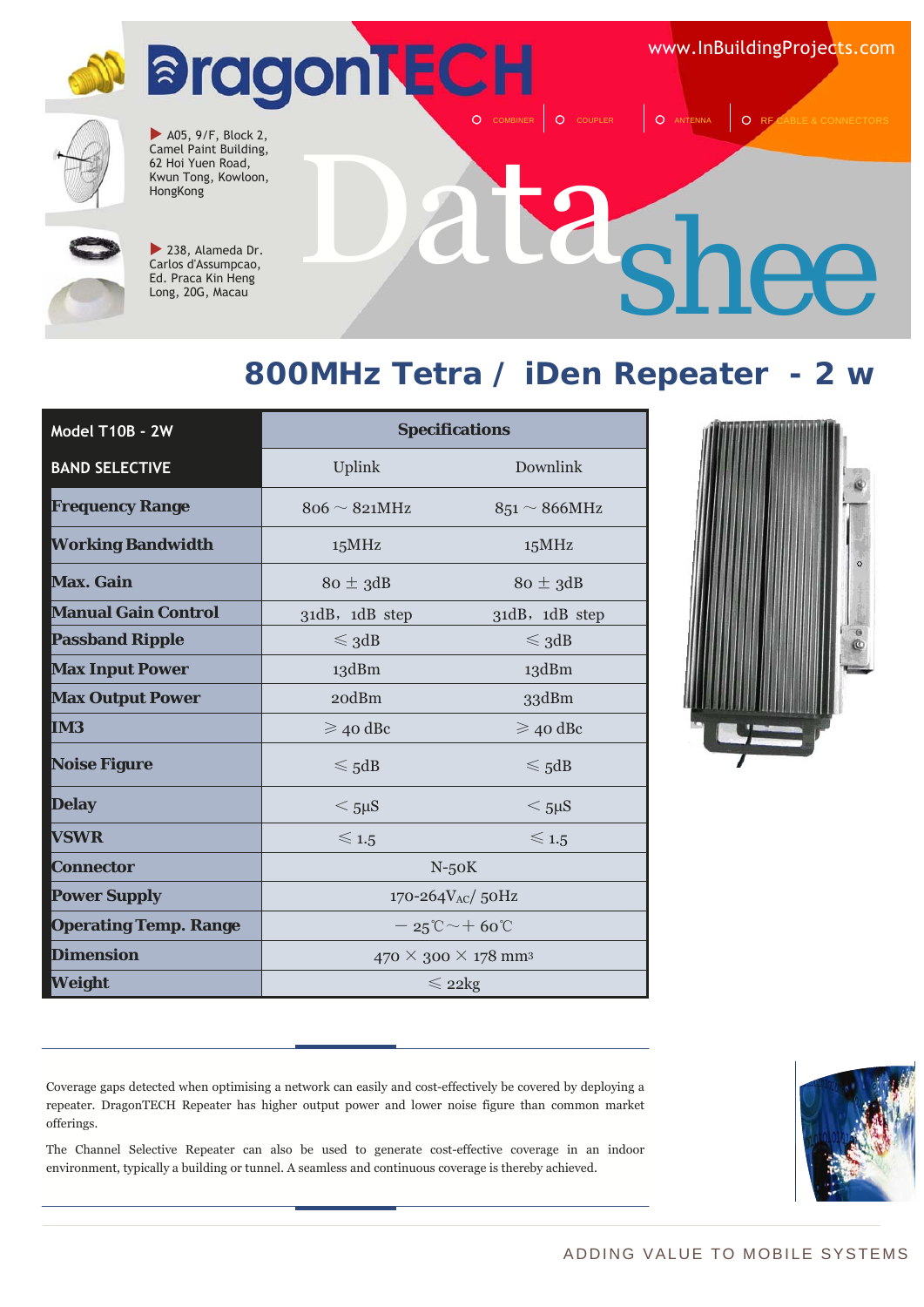www.InBuildingProjects.com



 $\blacktriangleright$  A05, 9/F, Block 2, Camel Paint Building, 62 Hoi Yuen Road, Kwun Tong, Kowloon, HongKong



 $\blacktriangleright$  238, Alameda Dr. Carlos d'Assumpcao, Ed. Praca Kin Heng Long, 20G, Macau

## Data *shee*

 $\begin{array}{|c|c|c|c|c|c|}\n\hline\nO & \text{COUPLER} & O & \text{ANTENNA} & O & \text{RF} \end{array}$ 

#### **800MHz Tetra / iDen Repeater - 2 w**

| Model T10B - 2W              | <b>Specifications</b>                            |                    |
|------------------------------|--------------------------------------------------|--------------------|
| <b>BAND SELECTIVE</b>        | Uplink                                           | Downlink           |
| <b>Frequency Range</b>       | $806 \sim 821 MHz$                               | $851 \sim 866$ MHz |
| <b>Working Bandwidth</b>     | 15MHz                                            | 15MHz              |
| <b>Max. Gain</b>             | $80 \pm 3$ dB                                    | $80 \pm 3$ dB      |
| <b>Manual Gain Control</b>   | 31dB, 1dB step                                   | 31dB, 1dB step     |
| <b>Passband Ripple</b>       | $\leq$ 3dB                                       | $\leq$ 3dB         |
| <b>Max Input Power</b>       | 13dBm                                            | 13dBm              |
| <b>Max Output Power</b>      | 20dBm                                            | 33dBm              |
| <b>IM3</b>                   | $\geqslant$ 40 dBc                               | $\geqslant$ 40 dBc |
| <b>Noise Figure</b>          | $\leqslant$ 5dB                                  | $\leqslant$ 5dB    |
| <b>Delay</b>                 | $<$ 5µS                                          | $<$ 5µS            |
| <b>VSWR</b>                  | $\leqslant$ 1.5                                  | $\leqslant$ 1.5    |
| <b>Connector</b>             | $N-50K$                                          |                    |
| <b>Power Supply</b>          | 170-264V <sub>AC</sub> /50Hz                     |                    |
| <b>Operating Temp. Range</b> | $-25^{\circ}\mathrm{C}\sim+60^{\circ}\mathrm{C}$ |                    |
| <b>Dimension</b>             | $470 \times 300 \times 178$ mm <sup>3</sup>      |                    |
| Weight                       | $\leqslant$ 22kg                                 |                    |



Coverage gaps detected when optimising a network can easily and cost-effectively be covered by deploying a repeater. DragonTECH Repeater has higher output power and lower noise figure than common market offerings.

The Channel Selective Repeater can also be used to generate cost-effective coverage in an indoor environment, typically a building or tunnel. A seamless and continuous coverage is thereby achieved.

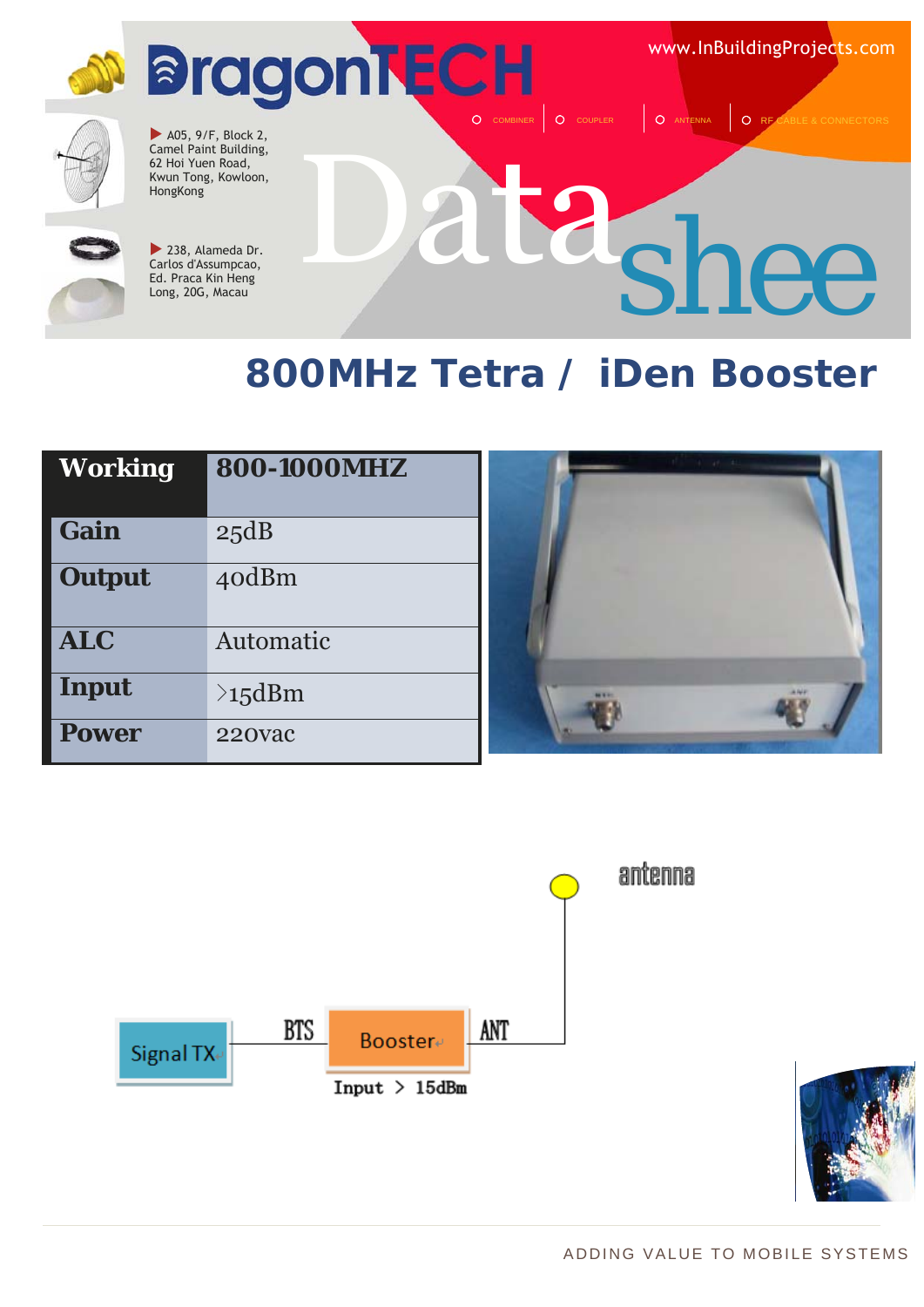**M** BragonTECH O COMBINER O COUPLER **COUPLER** CONNECTION

www.InBuildingProjects.com



 $\blacktriangleright$  A05, 9/F, Block 2, Camel Paint Building, 62 Hoi Yuen Road, Kwun Tong, Kowloon, **HongKong** 



238, Alameda Dr. Carlos d'Assumpcao, Ed. Praca Kin Heng Long, 20G, Macau

# Data *shee*

### **800MHz Tetra / iDen Booster**

| Working       | 800-1000MHZ   |
|---------------|---------------|
| Gain          | 25dB          |
| <b>Output</b> | 40dBm         |
| <b>ALC</b>    | Automatic     |
| <b>Input</b>  | $\geq 15$ dBm |
| <b>Power</b>  | 220vac        |





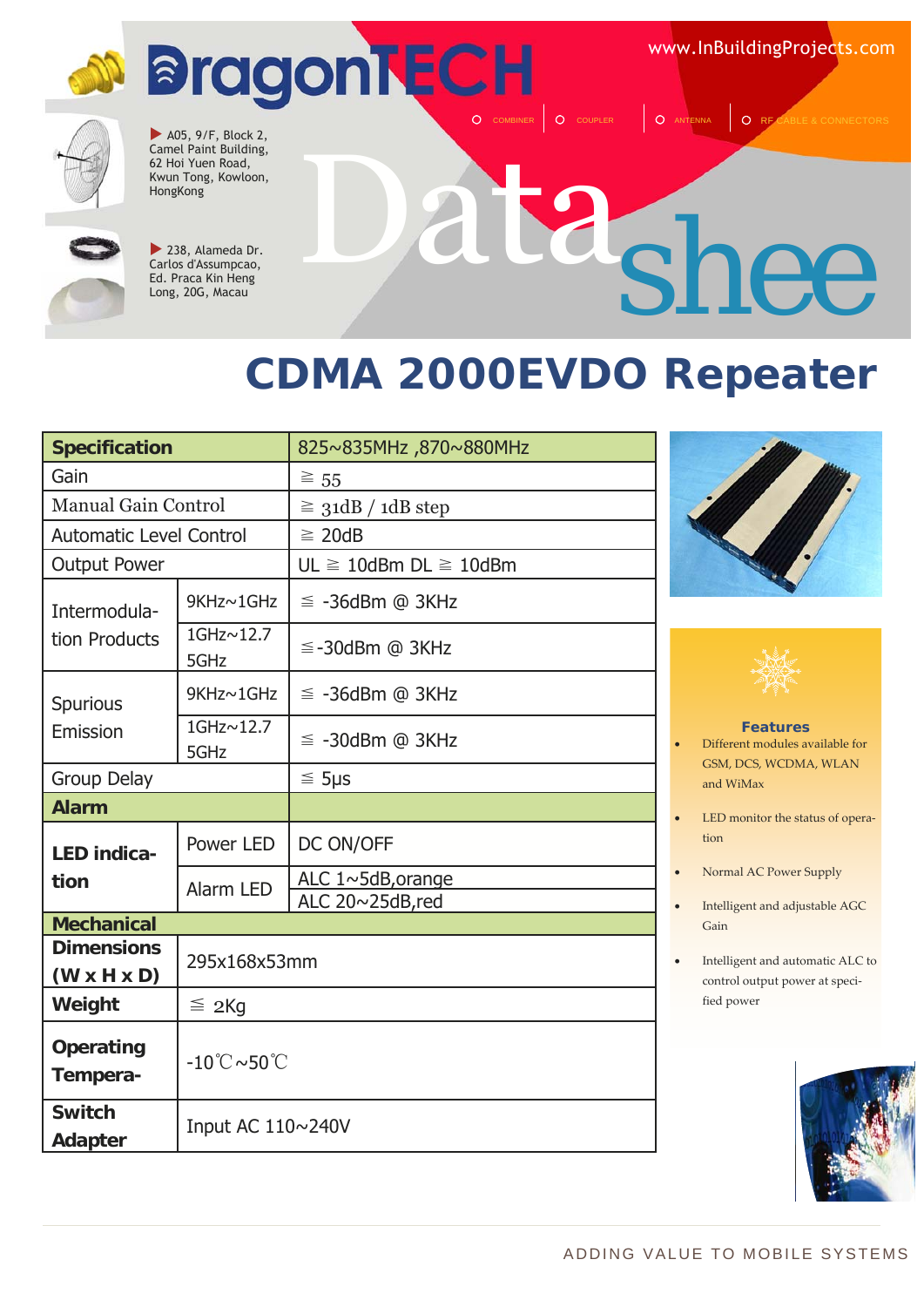www.InBuildingProjects.com



 $\blacktriangleright$  A05, 9/F, Block 2, Camel Paint Building, 62 Hoi Yuen Road, Kwun Tong, Kowloon, HongKong



 $\blacktriangleright$  238, Alameda Dr. Carlos d'Assumpcao, Ed. Praca Kin Heng Long, 20G, Macau

## Data *shee*

O COUPLER | O ANTENNA | O RE

### **CDMA 2000EVDO Repeater**

| <b>Specification</b>                         |                                        | 825~835MHz,870~880MHz                |  |
|----------------------------------------------|----------------------------------------|--------------------------------------|--|
| Gain                                         |                                        | $\geq 55$                            |  |
| <b>Manual Gain Control</b>                   |                                        | $\geq$ 31dB / 1dB step               |  |
| <b>Automatic Level Control</b>               |                                        | $\geq$ 20dB                          |  |
| <b>Output Power</b>                          |                                        | $UL \geq 10$ dBm DL $\geq 10$ dBm    |  |
| Intermodula-                                 | 9KHz~1GHz                              | $\leq$ -36dBm @ 3KHz                 |  |
| tion Products                                | 1GHz~12.7<br>5GHz                      | $\leq$ -30dBm @ 3KHz                 |  |
| Spurious                                     | 9KHz~1GHz                              | $\leq$ -36dBm @ 3KHz                 |  |
| Emission                                     | 1GHz~12.7<br>5GHz                      | $\leq$ -30dBm @ 3KHz                 |  |
| <b>Group Delay</b>                           |                                        | $\leq$ 5µs                           |  |
| <b>Alarm</b>                                 |                                        |                                      |  |
| <b>LED indica-</b>                           | Power LED                              | DC ON/OFF                            |  |
| tion                                         | Alarm LED                              | ALC 1~5dB, orange<br>ALC 20~25dB,red |  |
| <b>Mechanical</b>                            |                                        |                                      |  |
| <b>Dimensions</b><br>$(W \times H \times D)$ | 295x168x53mm                           |                                      |  |
| Weight                                       | $\leq$ 2Kg                             |                                      |  |
| <b>Operating</b><br>Tempera-                 | $-10^{\circ}$ C $\sim$ 50 $^{\circ}$ C |                                      |  |
| <b>Switch</b><br><b>Adapter</b>              | Input AC 110~240V                      |                                      |  |





#### **Features**

• Different modules available for GSM, DCS, WCDMA, WLAN and WiMax

- LED monitor the status of operation
- Normal AC Power Supply
- Intelligent and adjustable AGC Gain
- Intelligent and automatic ALC to control output power at speci‐ fied power

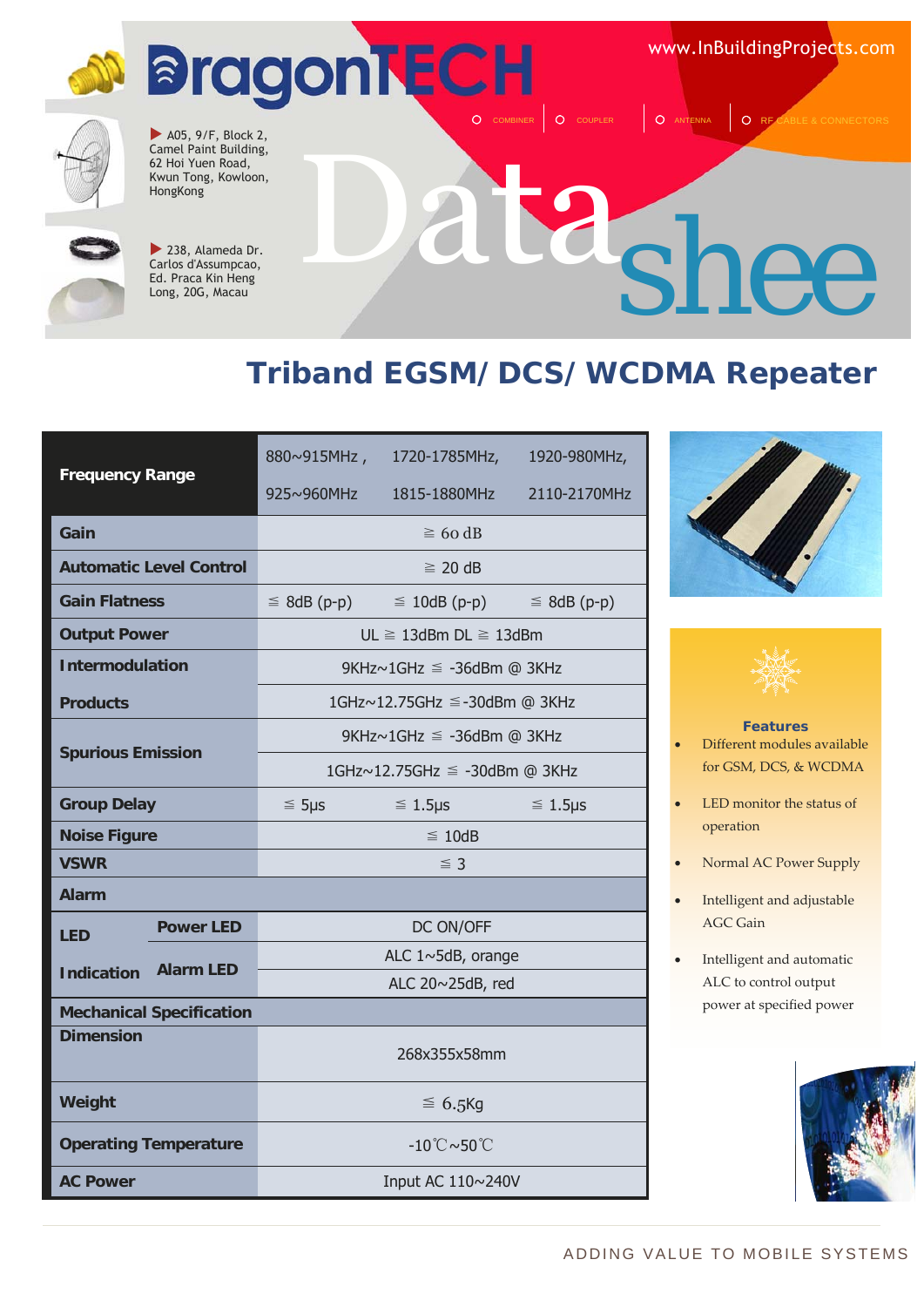www.InBuildingProjects.com



 $\blacktriangleright$  A05, 9/F, Block 2, Camel Paint Building, 62 Hoi Yuen Road, Kwun Tong, Kowloon, HongKong



 $\blacktriangleright$  238, Alameda Dr. Carlos d'Assumpcao, Ed. Praca Kin Heng Long, 20G, Macau

# $2$ <sub>shee</sub>

O COUPLER | O ANTENNA | O RF

#### **Triband EGSM/DCS/WCDMA Repeater**

| <b>Frequency Range</b>                |                                 |                                        | 880~915MHz, 1720-1785MHz,             | 1920-980MHz,     |
|---------------------------------------|---------------------------------|----------------------------------------|---------------------------------------|------------------|
|                                       |                                 | 925~960MHz                             | 1815-1880MHz                          | 2110-2170MHz     |
| Gain                                  |                                 | $\geq 60$ dB                           |                                       |                  |
|                                       | <b>Automatic Level Control</b>  |                                        | $\geq$ 20 dB                          |                  |
| <b>Gain Flatness</b>                  |                                 | $\leq 8$ dB (p-p)                      | $\leq$ 10dB (p-p)                     | $\leq$ 8dB (p-p) |
| <b>Output Power</b>                   |                                 |                                        | $UL \geq 13$ dBm DL $\geq 13$ dBm     |                  |
| <b>Intermodulation</b>                |                                 |                                        | 9KHz~1GHz ≤ -36dBm @ 3KHz             |                  |
| <b>Products</b>                       |                                 |                                        | 1GHz~12.75GHz ≤-30dBm @ 3KHz          |                  |
|                                       |                                 |                                        | 9KHz $\sim$ 1GHz $\leq$ -36dBm @ 3KHz |                  |
| <b>Spurious Emission</b>              |                                 |                                        | 1GHz~12.75GHz ≤ -30dBm @ 3KHz         |                  |
| <b>Group Delay</b>                    |                                 | $\leq$ 5µs                             | $\leq 1.5 \mu s$                      | $\leq 1.5$ µs    |
| <b>Noise Figure</b>                   |                                 |                                        | $\leq 10dB$                           |                  |
| <b>VSWR</b>                           |                                 |                                        | $\leq$ 3                              |                  |
| <b>Alarm</b>                          |                                 |                                        |                                       |                  |
| <b>LED</b>                            | <b>Power LED</b>                | DC ON/OFF                              |                                       |                  |
| <b>Alarm LED</b><br><b>Indication</b> |                                 | ALC 1~5dB, orange                      |                                       |                  |
|                                       |                                 | ALC 20~25dB, red                       |                                       |                  |
|                                       | <b>Mechanical Specification</b> |                                        |                                       |                  |
| <b>Dimension</b>                      |                                 | 268x355x58mm                           |                                       |                  |
| Weight                                |                                 | $\leq 6.5$ Kg                          |                                       |                  |
|                                       | <b>Operating Temperature</b>    | $-10^{\circ}$ C $\sim$ 50 $^{\circ}$ C |                                       |                  |
| <b>AC Power</b>                       |                                 | Input AC 110~240V                      |                                       |                  |





#### **Features**

- Different modules available for GSM, DCS, & WCDMA
- LED monitor the status of operation
- Normal AC Power Supply
- Intelligent and adjustable AGC Gain
- Intelligent and automatic ALC to control output power at specified power

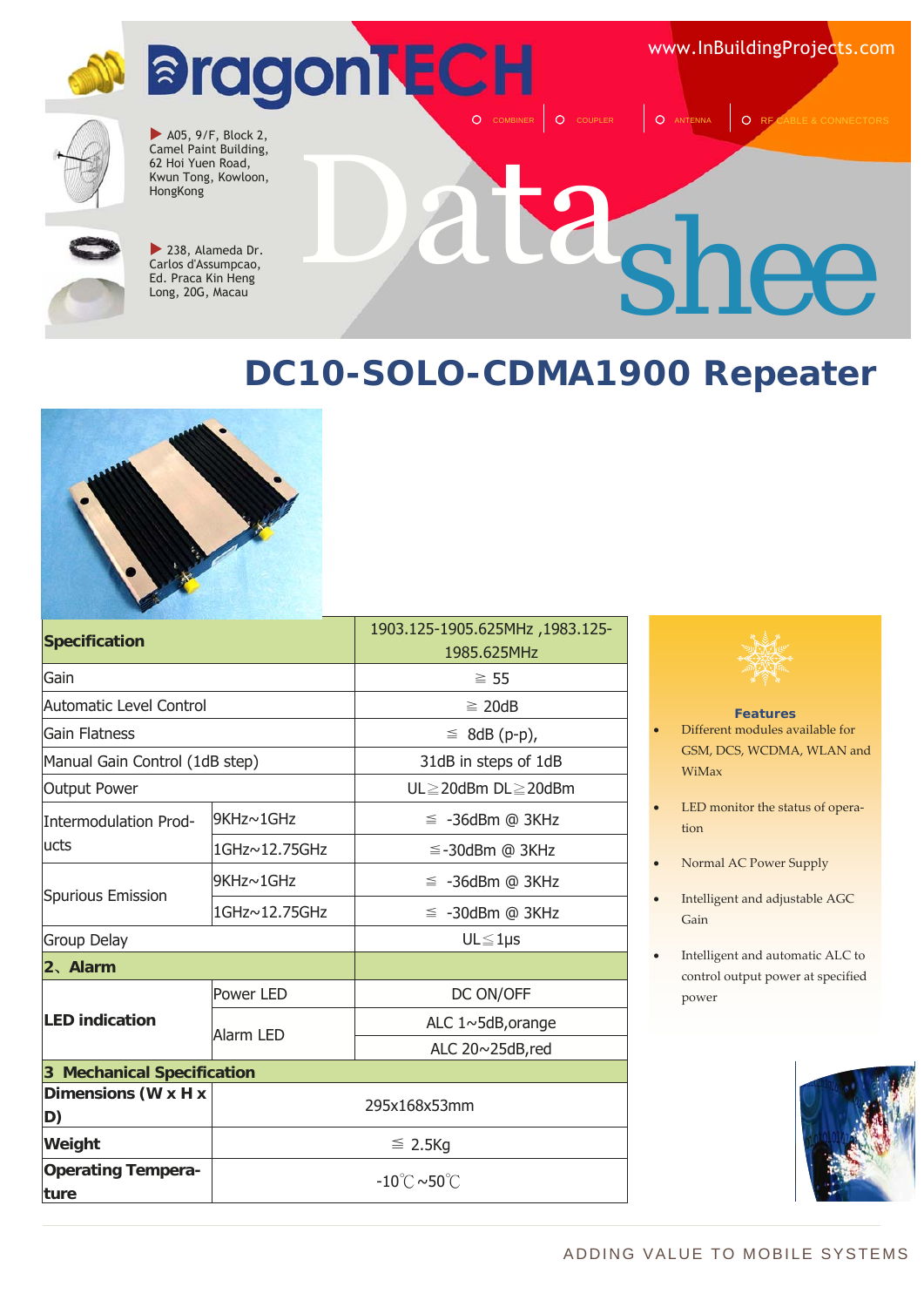www.InBuildingProjects.com



 $\blacktriangleright$  A05, 9/F, Block 2, Camel Paint Building, 62 Hoi Yuen Road, Kwun Tong, Kowloon, HongKong



 $\blacktriangleright$  238, Alameda Dr. Carlos d'Assumpcao, Ed. Praca Kin Heng Long, 20G, Macau

## Data *shee*

O COUPLER | O ANTENNA | O RE

#### **DC10-SOLO-CDMA1900 Repeater**



| Specification                     |                                        | 1903.125-1905.625MHz, 1983.125- |
|-----------------------------------|----------------------------------------|---------------------------------|
|                                   |                                        | 1985.625MHz                     |
| Gain                              |                                        | $\geq 55$                       |
| <b>Automatic Level Control</b>    |                                        | $\geq 20dB$                     |
| <b>Gain Flatness</b>              |                                        | $\leq$ 8dB (p-p),               |
| Manual Gain Control (1dB step)    |                                        | 31dB in steps of 1dB            |
| <b>Output Power</b>               |                                        | UL≧20dBm DL≧20dBm               |
| Intermodulation Prod-             | 9KHz~1GHz                              | $\leq$ -36dBm @ 3KHz            |
| lucts                             | 1GHz~12.75GHz                          | $\leq$ -30dBm @ 3KHz            |
|                                   | 9KHz~1GHz                              | $\leq$ -36dBm @ 3KHz            |
| <b>Spurious Emission</b>          | 1GHz~12.75GHz                          | $\leq$ -30dBm @ 3KHz            |
| Group Delay                       |                                        | $UL \leq 1 \mu s$               |
| 2、Alarm                           |                                        |                                 |
|                                   | Power LED                              | DC ON/OFF                       |
| <b>LED indication</b>             | Alarm LED                              | ALC 1~5dB, orange               |
|                                   |                                        | ALC 20~25dB,red                 |
| <b>3 Mechanical Specification</b> |                                        |                                 |
| Dimensions (W x H x<br>D)         | 295x168x53mm                           |                                 |
| Weight                            | $\leq$ 2.5Kg                           |                                 |
| <b>Operating Tempera-</b><br>ture | $-10^{\circ}$ C $\sim$ 50 $^{\circ}$ C |                                 |
|                                   |                                        |                                 |



#### **Features**

- Different modules available for GSM, DCS, WCDMA, WLAN and WiMax
- LED monitor the status of operation
- Normal AC Power Supply
- Intelligent and adjustable AGC Gain
- Intelligent and automatic ALC to control output power at specified power